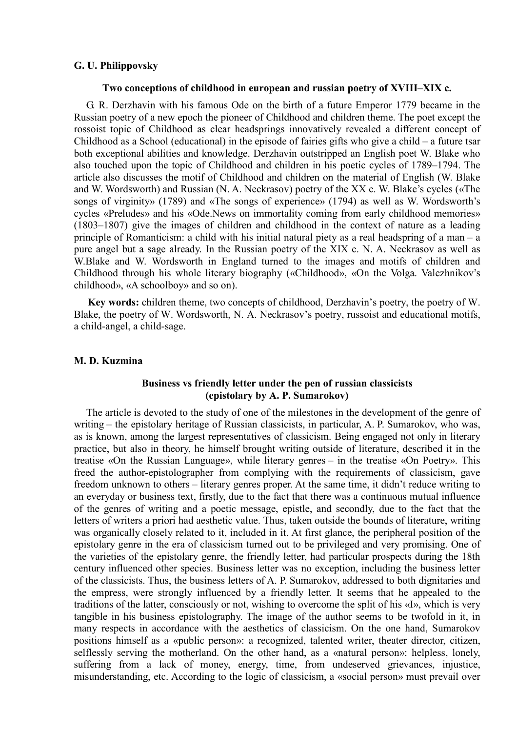### **G. U. Philippovsky**

### **Two conceptions of childhood in european and russian poetry of XVIII–XIX c.**

G. R. Derzhavin with his famous Ode on the birth of a future Emperor 1779 became in the Russian poetry of a new epoch the pioneer of Childhood and children theme. The poet except the rossoist topic of Childhood as clear headsprings innovatively revealed a different concept of Childhood as a School (educational) in the episode of fairies gifts who give a child – a future tsar both exceptional abilities and knowledge. Derzhavin outstripped an English poet W. Blake who also touched upon the topic of Childhood and children in his poetic cycles of 1789–1794. The article also discusses the motif of Childhood and children on the material of English (W. Blake and W. Wordsworth) and Russian (N. A. Neckrasov) poetry of the XX c. W. Blake's cycles («The songs of virginity» (1789) and «The songs of experience» (1794) as well as W. Wordsworth's cycles «Preludes» and his «Ode.News on immortality coming from early childhood memories» (1803–1807) give the images of children and childhood in the context of nature as a leading principle of Romanticism: a child with his initial natural piety as a real headspring of a man – a pure angel but a sage already. In the Russian poetry of the XIX c. N. A. Neckrasov as well as W.Blake and W. Wordsworth in England turned to the images and motifs of children and Childhood through his whole literary biography («Childhood», «On the Volga. Valezhnikov's childhood», «A schoolboy» and so on).

**Key words:** children theme, two concepts of childhood, Derzhavin's poetry, the poetry of W. Blake, the poetry of W. Wordsworth, N. A. Neckrasov's poetry, russoist and educational motifs, a child-angel, a child-sage.

#### **M. D. Kuzmina**

# **Business vs friendly letter under the pen of russian classicists (epistolary by A. P. Sumarokov)**

The article is devoted to the study of one of the milestones in the development of the genre of writing – the epistolary heritage of Russian classicists, in particular, A. P. Sumarokov, who was, as is known, among the largest representatives of classicism. Being engaged not only in literary practice, but also in theory, he himself brought writing outside of literature, described it in the treatise «On the Russian Language», while literary genres – in the treatise «On Poetry». This freed the author-epistolographer from complying with the requirements of classicism, gave freedom unknown to others – literary genres proper. At the same time, it didn't reduce writing to an everyday or business text, firstly, due to the fact that there was a continuous mutual influence of the genres of writing and a poetic message, epistle, and secondly, due to the fact that the letters of writers a priori had aesthetic value. Thus, taken outside the bounds of literature, writing was organically closely related to it, included in it. At first glance, the peripheral position of the epistolary genre in the era of classicism turned out to be privileged and very promising. One of the varieties of the epistolary genre, the friendly letter, had particular prospects during the 18th century influenced other species. Business letter was no exception, including the business letter of the classicists. Thus, the business letters of A. P. Sumarokov, addressed to both dignitaries and the empress, were strongly influenced by a friendly letter. It seems that he appealed to the traditions of the latter, consciously or not, wishing to overcome the split of his «I», which is very tangible in his business epistolography. The image of the author seems to be twofold in it, in many respects in accordance with the aesthetics of classicism. On the one hand, Sumarokov positions himself as a «public person»: a recognized, talented writer, theater director, citizen, selflessly serving the motherland. On the other hand, as a «natural person»: helpless, lonely, suffering from a lack of money, energy, time, from undeserved grievances, injustice, misunderstanding, etc. According to the logic of classicism, a «social person» must prevail over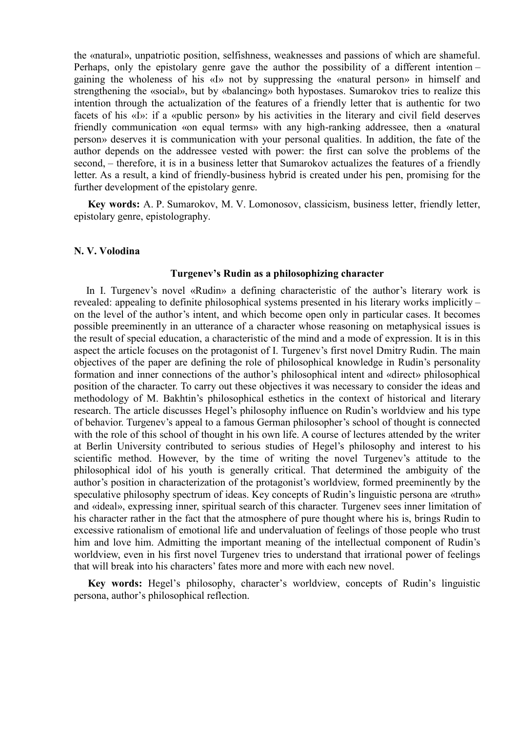the «natural», unpatriotic position, selfishness, weaknesses and passions of which are shameful. Perhaps, only the epistolary genre gave the author the possibility of a different intention – gaining the wholeness of his «I» not by suppressing the «natural person» in himself and strengthening the «social», but by «balancing» both hypostases. Sumarokov tries to realize this intention through the actualization of the features of a friendly letter that is authentic for two facets of his «I»: if a «public person» by his activities in the literary and civil field deserves friendly communication «on equal terms» with any high-ranking addressee, then a «natural person» deserves it is communication with your personal qualities. In addition, the fate of the author depends on the addressee vested with power: the first can solve the problems of the second, – therefore, it is in a business letter that Sumarokov actualizes the features of a friendly letter. As a result, a kind of friendly-business hybrid is created under his pen, promising for the further development of the epistolary genre.

**Key words:** A. P. Sumarokov, M. V. Lomonosov, classicism, business letter, friendly letter, epistolary genre, epistolography.

### **N. V. Volodina**

#### **Turgenev's Rudin as a philosophizing character**

In I. Turgenev's novel «Rudin» a defining characteristic of the author's literary work is revealed: appealing to definite philosophical systems presented in his literary works implicitly – on the level of the author's intent, and which become open only in particular cases. It becomes possible preeminently in an utterance of a character whose reasoning on metaphysical issues is the result of special education, a characteristic of the mind and a mode of expression. It is in this aspect the article focuses on the protagonist of I. Turgenev's first novel Dmitry Rudin. The main objectives of the paper are defining the role of philosophical knowledge in Rudin's personality formation and inner connections of the author's philosophical intent and «direct» philosophical position of the character. To carry out these objectives it was necessary to consider the ideas and methodology of M. Bakhtin's philosophical esthetics in the context of historical and literary research. The article discusses Hegel's philosophy influence on Rudin's worldview and his type of behavior. Turgenev's appeal to a famous German philosopher's school of thought is connected with the role of this school of thought in his own life. A course of lectures attended by the writer at Berlin University contributed to serious studies of Hegel's philosophy and interest to his scientific method. However, by the time of writing the novel Turgenev's attitude to the philosophical idol of his youth is generally critical. That determined the ambiguity of the author's position in characterization of the protagonist's worldview, formed preeminently by the speculative philosophy spectrum of ideas. Key concepts of Rudin's linguistic persona are «truth» and «ideal», expressing inner, spiritual search of this character*.* Turgenev sees inner limitation of his character rather in the fact that the atmosphere of pure thought where his is, brings Rudin to excessive rationalism of emotional life and undervaluation of feelings of those people who trust him and love him. Admitting the important meaning of the intellectual component of Rudin's worldview, even in his first novel Turgenev tries to understand that irrational power of feelings that will break into his characters' fates more and more with each new novel.

**Key words:** Hegel's philosophy, character's worldview, concepts of Rudin's linguistic persona, author's philosophical reflection.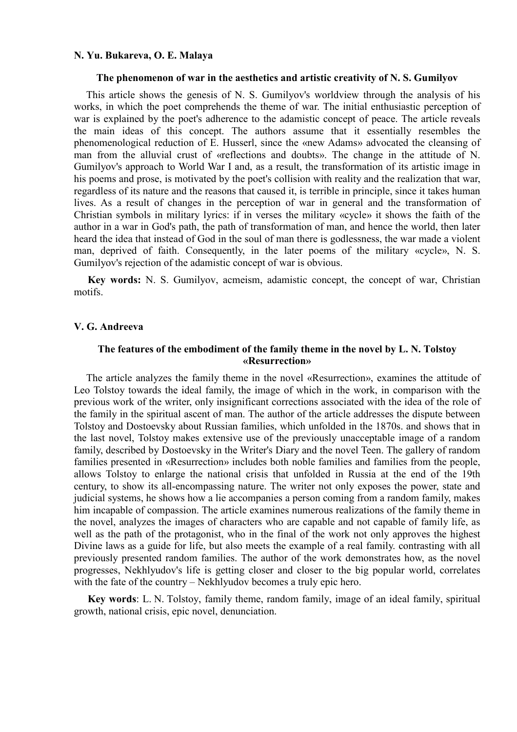### **N. Yu. Bukareva, O. E. Malaya**

#### **The phenomenon of war in the aesthetics and artistic creativity of N. S. Gumilyov**

This article shows the genesis of N. S. Gumilyov's worldview through the analysis of his works, in which the poet comprehends the theme of war. The initial enthusiastic perception of war is explained by the poet's adherence to the adamistic concept of peace. The article reveals the main ideas of this concept. The authors assume that it essentially resembles the phenomenological reduction of E. Husserl, since the «new Adams» advocated the cleansing of man from the alluvial crust of «reflections and doubts». The change in the attitude of N. Gumilyov's approach to World War I and, as a result, the transformation of its artistic image in his poems and prose, is motivated by the poet's collision with reality and the realization that war, regardless of its nature and the reasons that caused it, is terrible in principle, since it takes human lives. As a result of changes in the perception of war in general and the transformation of Christian symbols in military lyrics: if in verses the military «cycle» it shows the faith of the author in a war in God's path, the path of transformation of man, and hence the world, then later heard the idea that instead of God in the soul of man there is godlessness, the war made a violent man, deprived of faith. Consequently, in the later poems of the military «cycle», N. S. Gumilyov's rejection of the adamistic concept of war is obvious.

**Key words:** N. S. Gumilyov, acmeism, adamistic concept, the concept of war, Christian motifs.

#### **V. G. Andreeva**

# **The features of the embodiment of the family theme in the novel by L. N. Tolstoy «Resurrection»**

The article analyzes the family theme in the novel «Resurrection», examines the attitude of Leo Tolstoy towards the ideal family, the image of which in the work, in comparison with the previous work of the writer, only insignificant corrections associated with the idea of the role of the family in the spiritual ascent of man. The author of the article addresses the dispute between Tolstoy and Dostoevsky about Russian families, which unfolded in the 1870s. and shows that in the last novel, Tolstoy makes extensive use of the previously unacceptable image of a random family, described by Dostoevsky in the Writer's Diary and the novel Teen. The gallery of random families presented in «Resurrection» includes both noble families and families from the people, allows Tolstoy to enlarge the national crisis that unfolded in Russia at the end of the 19th century, to show its all-encompassing nature. The writer not only exposes the power, state and judicial systems, he shows how a lie accompanies a person coming from a random family, makes him incapable of compassion. The article examines numerous realizations of the family theme in the novel, analyzes the images of characters who are capable and not capable of family life, as well as the path of the protagonist, who in the final of the work not only approves the highest Divine laws as a guide for life, but also meets the example of a real family. contrasting with all previously presented random families. The author of the work demonstrates how, as the novel progresses, Nekhlyudov's life is getting closer and closer to the big popular world, correlates with the fate of the country – Nekhlyudov becomes a truly epic hero.

**Key words**: L. N. Tolstoy, family theme, random family, image of an ideal family, spiritual growth, national crisis, epic novel, denunciation.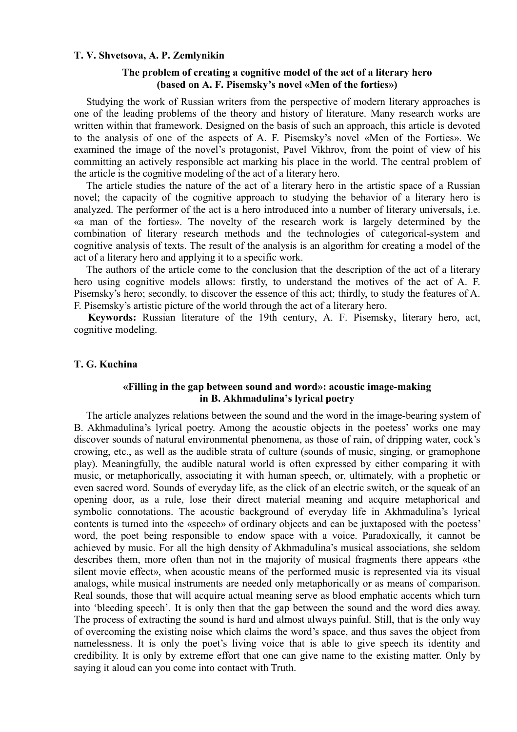### **T. V. Shvetsova, A. P. Zemlynikin**

# **The problem of creating a cognitive model of the act of a literary hero (based on A. F. Pisemsky's novel «Men of the forties»)**

Studying the work of Russian writers from the perspective of modern literary approaches is one of the leading problems of the theory and history of literature. Many research works are written within that framework. Designed on the basis of such an approach, this article is devoted to the analysis of one of the aspects of A. F. Pisemsky's novel «Men of the Forties». We examined the image of the novel's protagonist, Pavel Vikhrov, from the point of view of his committing an actively responsible act marking his place in the world. The central problem of the article is the cognitive modeling of the act of a literary hero.

The article studies the nature of the act of a literary hero in the artistic space of a Russian novel; the capacity of the cognitive approach to studying the behavior of a literary hero is analyzed. The performer of the act is a hero introduced into a number of literary universals, i.e. «a man of the forties». The novelty of the research work is largely determined by the combination of literary research methods and the technologies of categorical-system and cognitive analysis of texts. The result of the analysis is an algorithm for creating a model of the act of a literary hero and applying it to a specific work.

The authors of the article come to the conclusion that the description of the act of a literary hero using cognitive models allows: firstly, to understand the motives of the act of A. F. Pisemsky's hero; secondly, to discover the essence of this act; thirdly, to study the features of A. F. Pisemsky's artistic picture of the world through the act of a literary hero.

**Keywords:** Russian literature of the 19th century, A. F. Pisemsky, literary hero, act, cognitive modeling.

#### **T. G. Kuchina**

# **«Filling in the gap between sound and word»: acoustic image-making in B. Akhmadulina's lyrical poetry**

The article analyzes relations between the sound and the word in the image-bearing system of B. Akhmadulina's lyrical poetry. Among the acoustic objects in the poetess' works one may discover sounds of natural environmental phenomena, as those of rain, of dripping water, cock's crowing, etc., as well as the audible strata of culture (sounds of music, singing, or gramophone play). Meaningfully, the audible natural world is often expressed by either comparing it with music, or metaphorically, associating it with human speech, or, ultimately, with a prophetic or even sacred word. Sounds of everyday life, as the click of an electric switch, or the squeak of an opening door, as a rule, lose their direct material meaning and acquire metaphorical and symbolic connotations. The acoustic background of everyday life in Akhmadulina's lyrical contents is turned into the «speech» of ordinary objects and can be juxtaposed with the poetess' word, the poet being responsible to endow space with a voice. Paradoxically, it cannot be achieved by music. For all the high density of Akhmadulina's musical associations, she seldom describes them, more often than not in the majority of musical fragments there appears «the silent movie effect», when acoustic means of the performed music is represented via its visual analogs, while musical instruments are needed only metaphorically or as means of comparison. Real sounds, those that will acquire actual meaning serve as blood emphatic accents which turn into 'bleeding speech'. It is only then that the gap between the sound and the word dies away. The process of extracting the sound is hard and almost always painful. Still, that is the only way of overcoming the existing noise which claims the word's space, and thus saves the object from namelessness. It is only the poet's living voice that is able to give speech its identity and credibility. It is only by extreme effort that one can give name to the existing matter. Only by saying it aloud can you come into contact with Truth.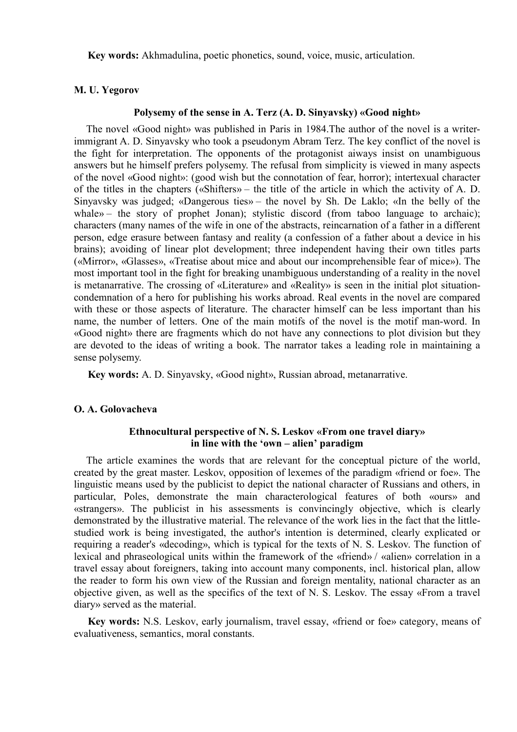**Key words:** Akhmadulina, poetic phonetics, sound, voice, music, articulation.

## **M. U. Yegorov**

# **Polysemy of the sense in A. Terz (A. D. Sinyavsky) «Good night»**

The novel «Good night» was published in Paris in 1984.The author of the novel is a writerimmigrant A. D. Sinyavsky who took a pseudonym Abram Terz. The key conflict of the novel is the fight for interpretation. The opponents of the protagonist aiways insist on unambiguous answers but he himself prefers polysemy. The refusal from simplicity is viewed in many aspects of the novel «Good night»: (good wish but the connotation of fear, horror); intertexual character of the titles in the chapters («Shifters» – the title of the article in which the activity of A. D. Sinyavsky was judged; «Dangerous ties» – the novel by Sh. De Laklo; «In the belly of the whale» – the story of prophet Jonan); stylistic discord (from taboo language to archaic); characters (many names of the wife in one of the abstracts, reincarnation of a father in a different person, edge erasure between fantasy and reality (a confession of a father about a device in his brains); avoiding of linear plot development; three independent having their own titles parts («Mirror», «Glasses», «Treatise about mice and about our incomprehensible fear of mice»). The most important tool in the fight for breaking unambiguous understanding of a reality in the novel is metanarrative. The crossing of «Literature» and «Reality» is seen in the initial plot situationcondemnation of a hero for publishing his works abroad. Real events in the novel are compared with these or those aspects of literature. The character himself can be less important than his name, the number of letters. One of the main motifs of the novel is the motif man-word. In «Good night» there are fragments which do not have any connections to plot division but they are devoted to the ideas of writing a book. The narrator takes a leading role in maintaining a sense polysemy.

**Key words:** A. D. Sinyavsky, «Good night», Russian abroad, metanarrative.

### **O. A. Golovacheva**

# **Ethnocultural perspective of N. S. Leskov «From one travel diary» in line with the 'оwn – аlien' paradigm**

The article examines the words that are relevant for the conceptual picture of the world, created by the great master. Leskov, opposition of lexemes of the paradigm «friend or foe». The linguistic means used by the publicist to depict the national character of Russians and others, in particular, Poles, demonstrate the main characterological features of both «ours» and «strangers». The publicist in his assessments is convincingly objective, which is clearly demonstrated by the illustrative material. The relevance of the work lies in the fact that the littlestudied work is being investigated, the author's intention is determined, clearly explicated or requiring a reader's «decoding», which is typical for the texts of N. S. Leskov. The function of lexical and phraseological units within the framework of the «friend» / «alien» correlation in a travel essay about foreigners, taking into account many components, incl. historical plan, allow the reader to form his own view of the Russian and foreign mentality, national character as an objective given, as well as the specifics of the text of N. S. Leskov. The essay «From a travel diary» served as the material.

**Key words:** N.S. Leskov, early journalism, travel essay, «friend or foe» category, means of evaluativeness, semantics, moral constants.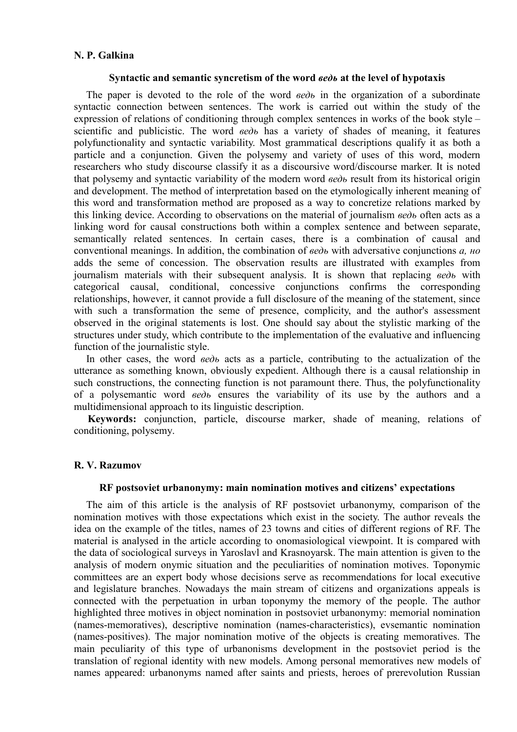# **N. P. Galkina**

### **Syntactic and semantic syncretism of the word** *ведь* **at the level of hypotaxis**

The paper is devoted to the role of the word *ведь* in the organization of a subordinate syntactic connection between sentences. The work is carried out within the study of the expression of relations of conditioning through complex sentences in works of the book style – scientific and publicistic. The word *ведь* has a variety of shades of meaning, it features polyfunctionality and syntactic variability. Most grammatical descriptions qualify it as both a particle and a conjunction. Given the polysemy and variety of uses of this word, modern researchers who study discourse classify it as a discoursive word/discourse marker. It is noted that polysemy and syntactic variability of the modern word *ведь* result from its historical origin and development. The method of interpretation based on the etymologically inherent meaning of this word and transformation method are proposed as a way to concretize relations marked by this linking device. According to observations on the material of journalism *ведь* often acts as a linking word for causal constructions both within a complex sentence and between separate, semantically related sentences. In certain cases, there is a combination of causal and conventional meanings. In addition, the combination of *ведь* with adversative conjunctions *a, но* adds the seme of concession. The observation results are illustrated with examples from journalism materials with their subsequent analysis. It is shown that replacing *ведь* with categorical causal, conditional, concessive conjunctions confirms the corresponding relationships, however, it cannot provide a full disclosure of the meaning of the statement, since with such a transformation the seme of presence, complicity, and the author's assessment observed in the original statements is lost. One should say about the stylistic marking of the structures under study, which contribute to the implementation of the evaluative and influencing function of the journalistic style.

In other cases, the word *ведь* acts as a particle, contributing to the actualization of the utterance as something known, obviously expedient. Although there is a causal relationship in such constructions, the connecting function is not paramount there. Thus, the polyfunctionality of a polysemantic word *ведь* ensures the variability of its use by the authors and a multidimensional approach to its linguistic description.

**Keywords:** conjunction, particle, discourse marker, shade of meaning, relations of conditioning, polysemy.

### **R. V. Razumov**

### **RF postsoviet urbanonymy: main nomination motives and citizens' expectations**

The aim of this article is the analysis of RF postsoviet urbanonymy, comparison of the nomination motives with those expectations which exist in the society. The author reveals the idea on the example of the titles, names of 23 towns and cities of different regions of RF. The material is analysed in the article according to onomasiological viewpoint. It is compared with the data of sociological surveys in Yaroslavl and Krasnoyarsk. The main attention is given to the analysis of modern onymic situation and the peculiarities of nomination motives. Toponymic committees are an expert body whose decisions serve as recommendations for local executive and legislature branches. Nowadays the main stream of citizens and organizations appeals is connected with the perpetuation in urban toponymy the memory of the people. The author highlighted three motives in object nomination in postsoviet urbanonymy: memorial nomination (names-memoratives), descriptive nomination (names-characteristics), evsemantic nomination (names-positives). The major nomination motive of the objects is creating memoratives. The main peculiarity of this type of urbanonisms development in the postsoviet period is the translation of regional identity with new models. Among personal memoratives new models of names appeared: urbanonyms named after saints and priests, heroes of prerevolution Russian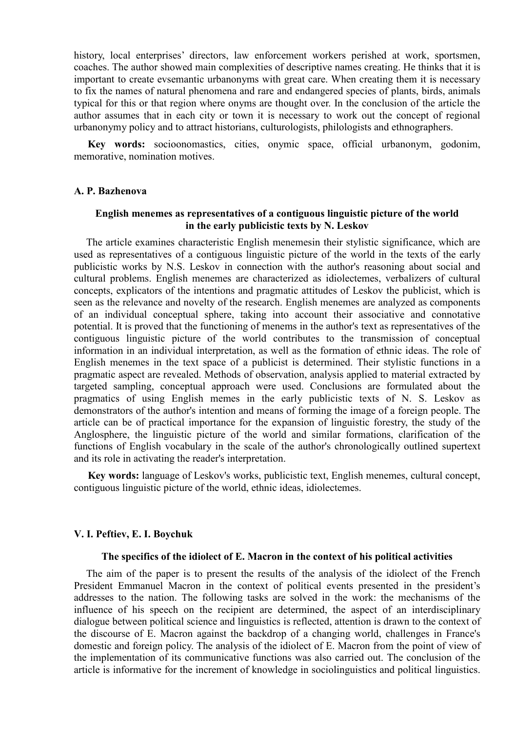history, local enterprises' directors, law enforcement workers perished at work, sportsmen, coaches. The author showed main complexities of descriptive names creating. He thinks that it is important to create evsemantic urbanonyms with great care. When creating them it is necessary to fix the names of natural phenomena and rare and endangered species of plants, birds, animals typical for this or that region where onyms are thought over. In the conclusion of the article the author assumes that in each city or town it is necessary to work out the concept of regional urbanonymy policy and to attract historians, culturologists, philologists and ethnographers.

**Key words:** socioonomastics, cities, onymic space, official urbanonym, godonim, memorative, nomination motives.

### **A. P. Bazhenova**

# **English menemes as representatives of a contiguous linguistic picture of the world in the early publicistic texts by N. Leskov**

The article examines characteristic English menemesin their stylistic significance, which are used as representatives of a contiguous linguistic picture of the world in the texts of the early publicistic works by N.S. Leskov in connection with the author's reasoning about social and cultural problems. English menemes are characterized as idiolectemes, verbalizers of cultural concepts, explicators of the intentions and pragmatic attitudes of Leskov the publicist, which is seen as the relevance and novelty of the research. English menemes are analyzed as components of an individual conceptual sphere, taking into account their associative and connotative potential. It is proved that the functioning of menems in the author's text as representatives of the contiguous linguistic picture of the world contributes to the transmission of conceptual information in an individual interpretation, as well as the formation of ethnic ideas. The role of English menemes in the text space of a publicist is determined. Their stylistic functions in a pragmatic aspect are revealed. Methods of observation, analysis applied to material extracted by targeted sampling, conceptual approach were used. Conclusions are formulated about the pragmatics of using English memes in the early publicistic texts of N. S. Leskov as demonstrators of the author's intention and means of forming the image of a foreign people. The article can be of practical importance for the expansion of linguistic forestry, the study of the Anglosphere, the linguistic picture of the world and similar formations, clarification of the functions of English vocabulary in the scale of the author's chronologically outlined supertext and its role in activating the reader's interpretation.

**Key words:** language of Leskov's works, publicistic text, English menemes, cultural concept, contiguous linguistic picture of the world, ethnic ideas, idiolectemes.

#### **V. I. Peftiev, E. I. Boychuk**

# **The specifics of the idiolect of E. Macron in the context of his political activities**

The aim of the paper is to present the results of the analysis of the idiolect of the French President Emmanuel Macron in the context of political events presented in the president's addresses to the nation. The following tasks are solved in the work: the mechanisms of the influence of his speech on the recipient are determined, the aspect of an interdisciplinary dialogue between political science and linguistics is reflected, attention is drawn to the context of the discourse of E. Macron against the backdrop of a changing world, challenges in France's domestic and foreign policy. The analysis of the idiolect of E. Macron from the point of view of the implementation of its communicative functions was also carried out. The conclusion of the article is informative for the increment of knowledge in sociolinguistics and political linguistics.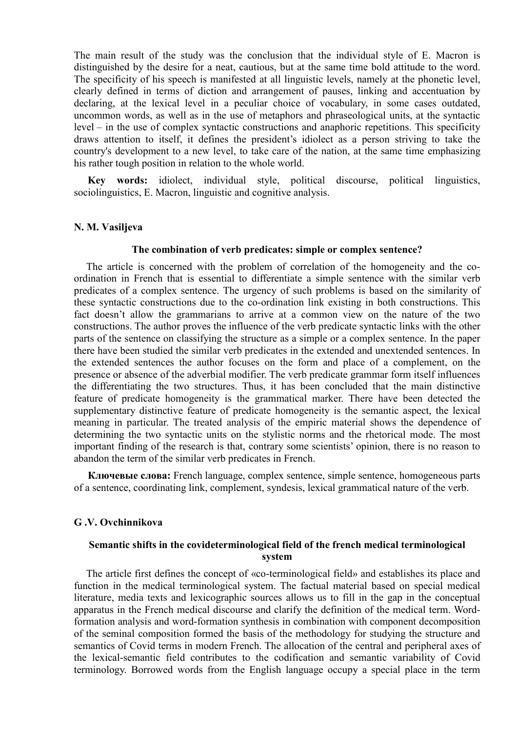The main result of the study was the conclusion that the individual style of E. Macron is distinguished by the desire for a neat, cautious, but at the same time bold attitude to the word. The specificity of his speech is manifested at all linguistic levels, namely at the phonetic level, clearly defined in terms of diction and arrangement of pauses, linking and accentuation by declaring, at the lexical level in a peculiar choice of vocabulary, in some cases outdated, uncommon words, as well as in the use of metaphors and phraseological units, at the syntactic level – in the use of complex syntactic constructions and anaphoric repetitions. This specificity draws attention to itself, it defines the president's idiolect as a person striving to take the country's development to a new level, to take care of the nation, at the same time emphasizing his rather tough position in relation to the whole world.

**Key words:** idiolect, individual style, political discourse, political linguistics, sociolinguistics, E. Macron, linguistic and cognitive analysis.

#### **N. M. Vasiljeva**

#### **The combination of verb predicates: simple or complex sentence?**

The article is concerned with the problem of correlation of the homogeneity and the coordination in French that is essential to differentiate a simple sentence with the similar verb predicates of a complex sentence. The urgency of such problems is based on the similarity of these syntactic constructions due to the co-ordination link existing in both constructions. This fact doesn't allow the grammarians to arrive at a common view on the nature of the two constructions. The author proves the influence of the verb predicate syntactic links with the other parts of the sentence on classifying the structure as a simple or a complex sentence. In the paper there have been studied the similar verb predicates in the extended and unextended sentences. In the extended sentences the author focuses on the form and place of a complement, on the presence or absence of the adverbial modifier. The verb predicate grammar form itself influences the differentiating the two structures. Thus, it has been concluded that the main distinctive feature of predicate homogeneity is the grammatical marker. There have been detected the supplementary distinctive feature of predicate homogeneity is the semantic aspect, the lexical meaning in particular. The treated analysis of the empiric material shows the dependence of determining the two syntactic units on the stylistic norms and the rhetorical mode. The most important finding of the research is that, contrary some scientists' opinion, there is no reason to abandon the term of the similar verb predicates in French.

**Ключевые слова:** French language, complex sentence, simple sentence, homogeneous parts of a sentence, coordinating link, complement, syndesis, lexical grammatical nature of the verb.

### **G .V. Оvchinnikova**

# **Semantic shifts in the covideterminological field of the french medical terminological system**

The article first defines the concept of «co-terminological field» and establishes its place and function in the medical terminological system. The factual material based on special medical literature, media texts and lexicographic sources allows us to fill in the gap in the conceptual apparatus in the French medical discourse and clarify the definition of the medical term. Wordformation analysis and word-formation synthesis in combination with component decomposition of the seminal composition formed the basis of the methodology for studying the structure and semantics of Covid terms in modern French. The allocation of the central and peripheral axes of the lexical-semantic field contributes to the codification and semantic variability of Covid terminology. Borrowed words from the English language occupy a special place in the term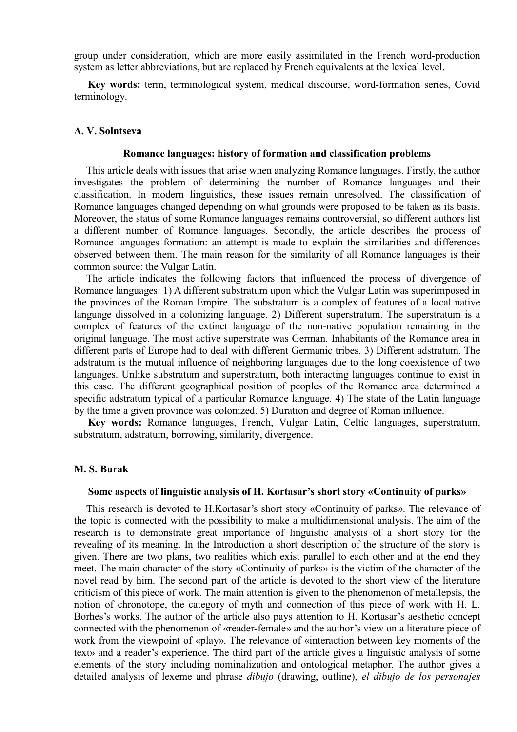group under consideration, which are more easily assimilated in the French word-production system as letter abbreviations, but are replaced by French equivalents at the lexical level.

**Key words:** term, terminological system, medical discourse, word-formation series, Covid terminology.

### **A. V. Solntseva**

#### **Romance languages: history of formation and classification problems**

This article deals with issues that arise when analyzing Romance languages. Firstly, the author investigates the problem of determining the number of Romance languages and their classification. In modern linguistics, these issues remain unresolved. The classification of Romance languages changed depending on what grounds were proposed to be taken as its basis. Moreover, the status of some Romance languages remains controversial, so different authors list a different number of Romance languages. Secondly, the article describes the process of Romance languages formation: an attempt is made to explain the similarities and differences observed between them. The main reason for the similarity of all Romance languages is their common source: the Vulgar Latin.

The article indicates the following factors that influenced the process of divergence of Romance languages: 1) A different substratum upon which the Vulgar Latin was superimposed in the provinces of the Roman Empire. The substratum is a complex of features of a local native language dissolved in a colonizing language. 2) Different superstratum. The superstratum is a complex of features of the extinct language of the non-native population remaining in the original language. The most active superstrate was German. Inhabitants of the Romance area in different parts of Europe had to deal with different Germanic tribes. 3) Different adstratum. The adstratum is the mutual influence of neighboring languages due to the long coexistence of two languages. Unlike substratum and superstratum, both interacting languages continue to exist in this case. The different geographical position of peoples of the Romance area determined a specific adstratum typical of a particular Romance language. 4) The state of the Latin language by the time a given province was colonized. 5) Duration and degree of Roman influence.

**Key words:** Romance languages, French, Vulgar Latin, Celtic languages, superstratum, substratum, adstratum, borrowing, similarity, divergence.

### **M. S. Burak**

### **Some aspects of linguistic analysis of H. Kortasar's short story «Сontinuity of parks»**

This research is devoted to H.Kortasar's short story «Сontinuity of parks». The relevance of the topic is connected with the possibility to make a multidimensional analysis. The aim of the research is to demonstrate great importance of linguistic analysis of a short story for the revealing of its meaning. In the Introduction a short description of the structure of the story is given. There are two plans, two realities which exist parallel to each other and at the end they meet. The main character of the story **«**Сontinuity of parks» is the victim of the character of the novel read by him. The second part of the article is devoted to the short view of the literature criticism of this piece of work. The main attention is given to the phenomenon of metallepsis, the notion of chronotope, the category of myth and connection of this piece of work with H. L. Borhes's works. The author of the article also pays attention to H. Kortasar's aesthetic concept connected with the phenomenon of «reader-female» and the author's view on a literature piece of work from the viewpoint of «play». The relevance of «interaction between key moments of the text» and a reader's experience. The third part of the article gives a linguistic analysis of some elements of the story including nominalization and ontological metaphor. The author gives a detailed analysis of lexeme and phrase *dibujo* (drawing, outline), *el dibujo de los personajes*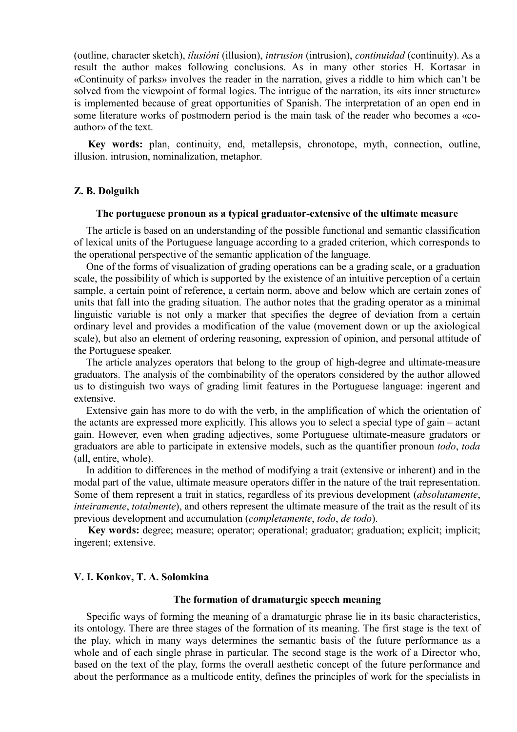(outline, character sketch), *ilusióni* (illusion), *intrusion* (intrusion), *continuidad* (continuity). As a result the author makes following conclusions. As in many other stories H. Kortasar in «Continuity of parks» involves the reader in the narration, gives a riddle to him which can't be solved from the viewpoint of formal logics. The intrigue of the narration, its «its inner structure» is implemented because of great opportunities of Spanish. The interpretation of an open end in some literature works of postmodern period is the main task of the reader who becomes а «coauthor» of the text.

**Key words:** plan, continuity, end, metallepsis, chronotope, myth, connection, outline, illusion. intrusion, nominalization, metaphor.

### **Z. B. Dolguikh**

### **The portuguese pronoun as a typical graduator-extensive of the ultimate measure**

The article is based on an understanding of the possible functional and semantic classification of lexical units of the Portuguese language according to a graded criterion, which corresponds to the operational perspective of the semantic application of the language.

One of the forms of visualization of grading operations can be a grading scale, or a graduation scale, the possibility of which is supported by the existence of an intuitive perception of a certain sample, a certain point of reference, a certain norm, above and below which are certain zones of units that fall into the grading situation. The author notes that the grading operator as a minimal linguistic variable is not only a marker that specifies the degree of deviation from a certain ordinary level and provides a modification of the value (movement down or up the axiological scale), but also an element of ordering reasoning, expression of opinion, and personal attitude of the Portuguese speaker.

The article analyzes operators that belong to the group of high-degree and ultimate-measure graduators. The analysis of the combinability of the operators considered by the author allowed us to distinguish two ways of grading limit features in the Portuguese language: ingerent and extensive.

Extensive gain has more to do with the verb, in the amplification of which the orientation of the actants are expressed more explicitly. This allows you to select a special type of gain – actant gain. However, even when grading adjectives, some Portuguese ultimate-measure gradators or graduators are able to participate in extensive models, such as the quantifier pronoun *todo*, *toda* (all, entire, whole).

In addition to differences in the method of modifying a trait (extensive or inherent) and in the modal part of the value, ultimate measure operators differ in the nature of the trait representation. Some of them represent a trait in statics, regardless of its previous development (*absolutamente*, *inteiramente*, *totalmente*), and others represent the ultimate measure of the trait as the result of its previous development and accumulation (*completamente*, *todo*, *de todo*).

**Key words:** degree; measure; operator; operational; graduator; graduation; explicit; implicit; ingerent; extensive.

## **V. I. Konkov, T. A. Solomkina**

## **The formation of dramaturgic speech meaning**

Specific ways of forming the meaning of a dramaturgic phrase lie in its basic characteristics, its ontology. There are three stages of the formation of its meaning. The first stage is the text of the play, which in many ways determines the semantic basis of the future performance as a whole and of each single phrase in particular. The second stage is the work of a Director who, based on the text of the play, forms the overall aesthetic concept of the future performance and about the performance as a multicode entity, defines the principles of work for the specialists in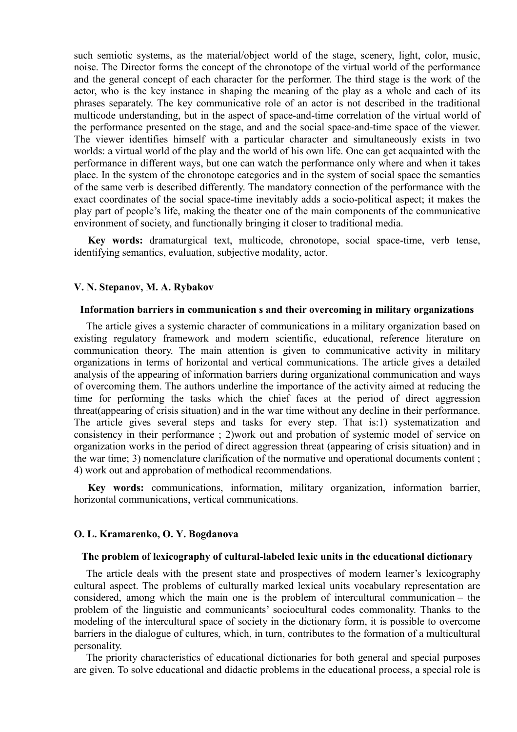such semiotic systems, as the material/object world of the stage, scenery, light, color, music, noise. The Director forms the concept of the chronotope of the virtual world of the performance and the general concept of each character for the performer. The third stage is the work of the actor, who is the key instance in shaping the meaning of the play as a whole and each of its phrases separately. The key communicative role of an actor is not described in the traditional multicode understanding, but in the aspect of space-and-time correlation of the virtual world of the performance presented on the stage, and and the social space-and-time space of the viewer. The viewer identifies himself with a particular character and simultaneously exists in two worlds: a virtual world of the play and the world of his own life. One can get acquainted with the performance in different ways, but one can watch the performance only where and when it takes place. In the system of the chronotope categories and in the system of social space the semantics of the same verb is described differently. The mandatory connection of the performance with the exact coordinates of the social space-time inevitably adds a socio-political aspect; it makes the play part of people's life, making the theater one of the main components of the communicative environment of society, and functionally bringing it closer to traditional media.

**Key words:** dramaturgical text, multicode, chronotope, social space-time, verb tense, identifying semantics, evaluation, subjective modality, actor.

### **V. N. Stepanov, M. A. Rybakov**

#### **Information barriers in communication s and their overcoming in military organizations**

The article gives a systemic character of communications in a military organization based on existing regulatory framework and modern scientific, educational, reference literature on communication theory. The main attention is given to communicative activity in military organizations in terms of horizontal and vertical communications. The article gives a detailed analysis of the appearing of information barriers during organizational communication and ways of overcoming them. The authors underline the importance of the activity aimed at reducing the time for performing the tasks which the chief faces at the period of direct aggression threat(appearing of crisis situation) and in the war time without any decline in their performance. The article gives several steps and tasks for every step. That is:1) systematization and consistency in their performance ; 2)work out and probation of systemic model of service on organization works in the period of direct aggression threat (appearing of crisis situation) and in the war time; 3) nomenclature clarification of the normative and operational documents content ; 4) work out and approbation of methodical recommendations.

**Key words:** communications, information, military organization, information barrier, horizontal communications, vertical communications.

#### **O. L. Kramarenko, O. Y. Bogdanova**

#### **Тhe problem of lexicography of cultural-labeled lexic units in the educational dictionary**

The article deals with the present state and prospectives of modern learner's lexicography cultural aspect. The problems of culturally marked lexical units vocabulary representation are considered, among which the main one is the problem of intercultural communication – the problem of the linguistic and communicants' sociocultural codes commonality. Thanks to the modeling of the intercultural space of society in the dictionary form, it is possible to overcome barriers in the dialogue of cultures, which, in turn, contributes to the formation of a multicultural personality.

The priority characteristics of educational dictionaries for both general and special purposes are given. To solve educational and didactic problems in the educational process, a special role is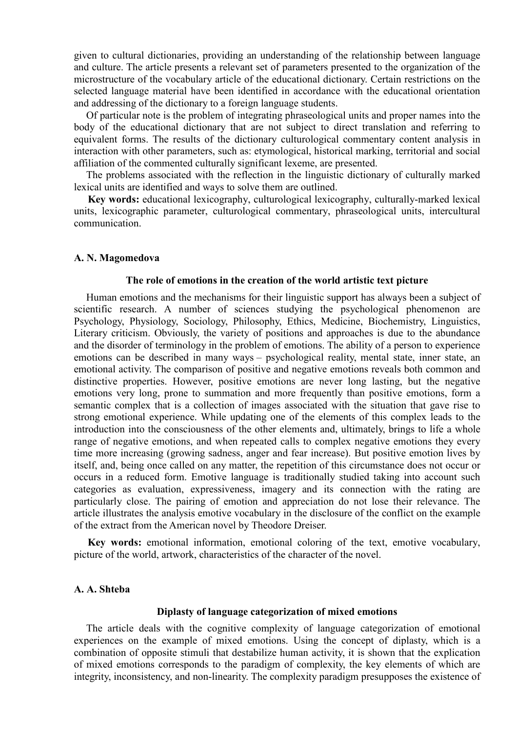given to cultural dictionaries, providing an understanding of the relationship between language and culture. The article presents a relevant set of parameters presented to the organization of the microstructure of the vocabulary article of the educational dictionary. Certain restrictions on the selected language material have been identified in accordance with the educational orientation and addressing of the dictionary to a foreign language students.

Of particular note is the problem of integrating phraseological units and proper names into the body of the educational dictionary that are not subject to direct translation and referring to equivalent forms. The results of the dictionary culturological commentary content analysis in interaction with other parameters, such as: etymological, historical marking, territorial and social affiliation of the commented culturally significant lexeme, are presented.

The problems associated with the reflection in the linguistic dictionary of culturally marked lexical units are identified and ways to solve them are outlined.

**Key words:** educational lexicography, culturological lexicography, culturally-marked lexical units, lexicographic parameter, culturological commentary, phraseological units, intercultural communication.

#### **A. N. Magomedova**

### **Тhe role of emotions in the creation of the world artistic text picture**

Human emotions and the mechanisms for their linguistic support has always been a subject of scientific research. A number of sciences studying the psychological phenomenon are Psychology, Physiology, Sociology, Philosophy, Ethics, Medicine, Biochemistry, Linguistics, Literary criticism. Obviously, the variety of positions and approaches is due to the abundance and the disorder of terminology in the problem of emotions. The ability of a person to experience emotions can be described in many ways – psychological reality, mental state, inner state, an emotional activity. The comparison of positive and negative emotions reveals both common and distinctive properties. However, positive emotions are never long lasting, but the negative emotions very long, prone to summation and more frequently than positive emotions, form a semantic complex that is a collection of images associated with the situation that gave rise to strong emotional experience. While updating one of the elements of this complex leads to the introduction into the consciousness of the other elements and, ultimately, brings to life a whole range of negative emotions, and when repeated calls to complex negative emotions they every time more increasing (growing sadness, anger and fear increase). But positive emotion lives by itself, and, being once called on any matter, the repetition of this circumstance does not occur or occurs in a reduced form. Emotive language is traditionally studied taking into account such categories as evaluation, expressiveness, imagery and its connection with the rating are particularly close. The pairing of emotion and appreciation do not lose their relevance. The article illustrates the analysis emotive vocabulary in the disclosure of the conflict on the example of the extract from the American novel by Theodore Dreiser.

**Key words:** emotional information, emotional coloring of the text, emotive vocabulary, picture of the world, artwork, characteristics of the character of the novel.

# **A. A. Shteba**

#### **Diplasty of language categorization of mixed emotions**

The article deals with the cognitive complexity of language categorization of emotional experiences on the example of mixed emotions. Using the concept of diplasty, which is a combination of opposite stimuli that destabilize human activity, it is shown that the explication of mixed emotions corresponds to the paradigm of complexity, the key elements of which are integrity, inconsistency, and non-linearity. The complexity paradigm presupposes the existence of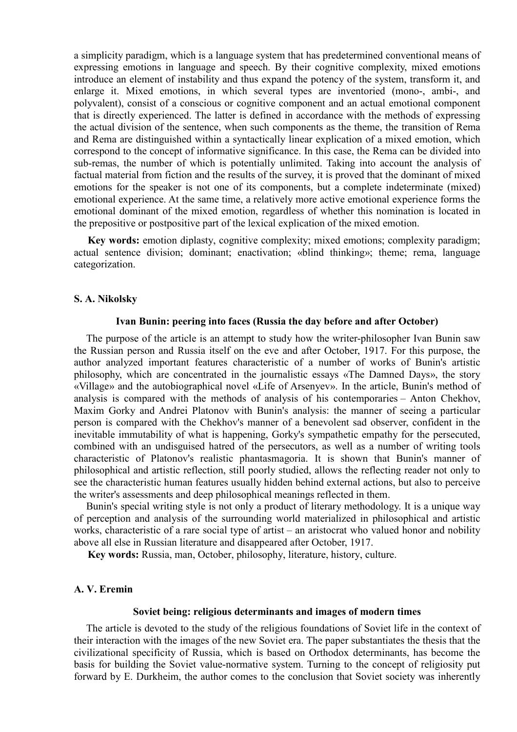a simplicity paradigm, which is a language system that has predetermined conventional means of expressing emotions in language and speech. By their cognitive complexity, mixed emotions introduce an element of instability and thus expand the potency of the system, transform it, and enlarge it. Mixed emotions, in which several types are inventoried (mono-, ambi-, and polyvalent), consist of a conscious or cognitive component and an actual emotional component that is directly experienced. The latter is defined in accordance with the methods of expressing the actual division of the sentence, when such components as the theme, the transition of Rema and Rema are distinguished within a syntactically linear explication of a mixed emotion, which correspond to the concept of informative significance. In this case, the Rema can be divided into sub-remas, the number of which is potentially unlimited. Taking into account the analysis of factual material from fiction and the results of the survey, it is proved that the dominant of mixed emotions for the speaker is not one of its components, but a complete indeterminate (mixed) emotional experience. At the same time, a relatively more active emotional experience forms the emotional dominant of the mixed emotion, regardless of whether this nomination is located in the prepositive or postpositive part of the lexical explication of the mixed emotion.

**Key words:** emotion diplasty, cognitive complexity; mixed emotions; complexity paradigm; actual sentence division; dominant; enactivation; «blind thinking»; theme; rema, language categorization.

#### **S. A. Nikolsky**

# **Ivan Bunin: peering into faces (Russia the day before and after October)**

The purpose of the article is an attempt to study how the writer-philosopher Ivan Bunin saw the Russian person and Russia itself on the eve and after October, 1917. For this purpose, the author analyzed important features characteristic of a number of works of Bunin's artistic philosophy, which are concentrated in the journalistic essays «The Damned Days», the story «Village» and the autobiographical novel «Life of Arsenyev». In the article, Bunin's method of analysis is compared with the methods of analysis of his contemporaries – Anton Chekhov, Maxim Gorky and Andrei Platonov with Bunin's analysis: the manner of seeing a particular person is compared with the Chekhov's manner of a benevolent sad observer, confident in the inevitable immutability of what is happening, Gorky's sympathetic empathy for the persecuted, combined with an undisguised hatred of the persecutors, as well as a number of writing tools characteristic of Platonov's realistic phantasmagoria. It is shown that Bunin's manner of philosophical and artistic reflection, still poorly studied, allows the reflecting reader not only to see the characteristic human features usually hidden behind external actions, but also to perceive the writer's assessments and deep philosophical meanings reflected in them.

Bunin's special writing style is not only a product of literary methodology. It is a unique way of perception and analysis of the surrounding world materialized in philosophical and artistic works, characteristic of a rare social type of artist – an aristocrat who valued honor and nobility above all else in Russian literature and disappeared after October, 1917.

**Key words:** Russia, man, October, philosophy, literature, history, culture.

# **A. V. Eremin**

#### **Soviet being: religious determinants and images of modern times**

The article is devoted to the study of the religious foundations of Soviet life in the context of their interaction with the images of the new Soviet era. The paper substantiates the thesis that the civilizational specificity of Russia, which is based on Orthodox determinants, has become the basis for building the Soviet value-normative system. Turning to the concept of religiosity put forward by E. Durkheim, the author comes to the conclusion that Soviet society was inherently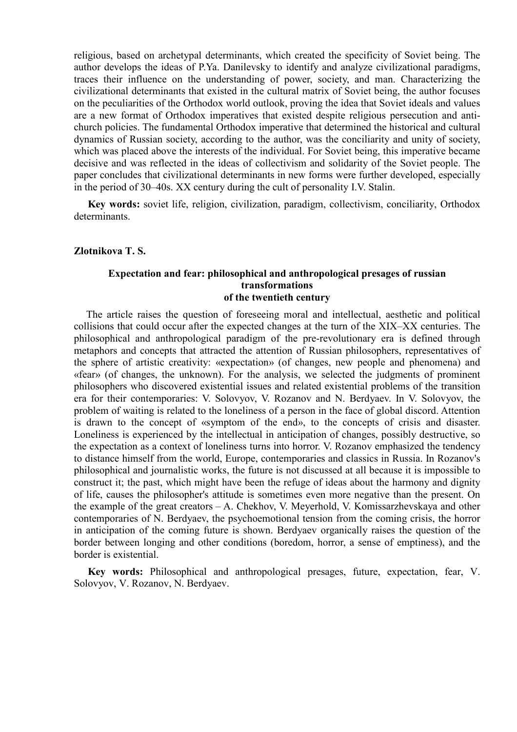religious, based on archetypal determinants, which created the specificity of Soviet being. The author develops the ideas of P.Ya. Danilevsky to identify and analyze civilizational paradigms, traces their influence on the understanding of power, society, and man. Characterizing the civilizational determinants that existed in the cultural matrix of Soviet being, the author focuses on the peculiarities of the Orthodox world outlook, proving the idea that Soviet ideals and values are a new format of Orthodox imperatives that existed despite religious persecution and antichurch policies. The fundamental Orthodox imperative that determined the historical and cultural dynamics of Russian society, according to the author, was the conciliarity and unity of society, which was placed above the interests of the individual. For Soviet being, this imperative became decisive and was reflected in the ideas of collectivism and solidarity of the Soviet people. The paper concludes that civilizational determinants in new forms were further developed, especially in the period of 30–40s. XX century during the cult of personality I.V. Stalin.

**Key words:** soviet life, religion, civilization, paradigm, collectivism, conciliarity, Orthodox determinants.

#### **Zlotnikova T. S.**

# **Expectation and fear: philosophical and anthropological presages of russian transformations of the twentieth century**

The article raises the question of foreseeing moral and intellectual, aesthetic and political collisions that could occur after the expected changes at the turn of the XIX–XX centuries. The philosophical and anthropological paradigm of the pre-revolutionary era is defined through metaphors and concepts that attracted the attention of Russian philosophers, representatives of the sphere of artistic creativity: «expectation» (of changes, new people and phenomena) and «fear» (of changes, the unknown). For the analysis, we selected the judgments of prominent philosophers who discovered existential issues and related existential problems of the transition era for their contemporaries: V. Solovyov, V. Rozanov and N. Berdyaev. In V. Solovyov, the problem of waiting is related to the loneliness of a person in the face of global discord. Attention is drawn to the concept of «symptom of the end», to the concepts of crisis and disaster. Loneliness is experienced by the intellectual in anticipation of changes, possibly destructive, so the expectation as a context of loneliness turns into horror. V. Rozanov emphasized the tendency to distance himself from the world, Europe, contemporaries and classics in Russia. In Rozanov's philosophical and journalistic works, the future is not discussed at all because it is impossible to construct it; the past, which might have been the refuge of ideas about the harmony and dignity of life, causes the philosopher's attitude is sometimes even more negative than the present. On the example of the great creators – A. Chekhov, V. Meyerhold, V. Komissarzhevskaya and other contemporaries of N. Berdyaev, the psychoemotional tension from the coming crisis, the horror in anticipation of the coming future is shown. Berdyaev organically raises the question of the border between longing and other conditions (boredom, horror, a sense of emptiness), and the border is existential.

**Key words:** Philosophical and anthropological presages, future, expectation, fear, V. Solovyov, V. Rozanov, N. Berdyaev.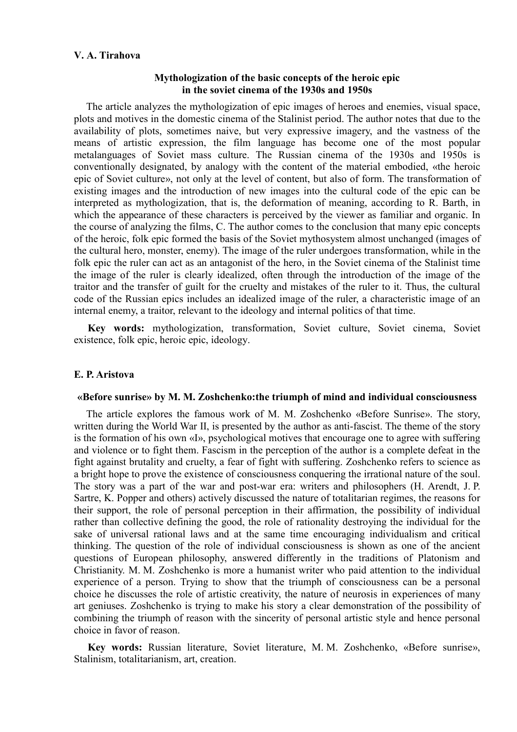# **V. A. Tirahova**

# **Mythologization of the basic concepts of the heroic epic in the soviet cinema of the 1930s and 1950s**

The article analyzes the mythologization of epic images of heroes and enemies, visual space, plots and motives in the domestic cinema of the Stalinist period. The author notes that due to the availability of plots, sometimes naive, but very expressive imagery, and the vastness of the means of artistic expression, the film language has become one of the most popular metalanguages of Soviet mass culture. The Russian cinema of the 1930s and 1950s is conventionally designated, by analogy with the content of the material embodied, «the heroic epic of Soviet culture», not only at the level of content, but also of form. The transformation of existing images and the introduction of new images into the cultural code of the epic can be interpreted as mythologization, that is, the deformation of meaning, according to R. Barth, in which the appearance of these characters is perceived by the viewer as familiar and organic. In the course of analyzing the films, C. The author comes to the conclusion that many epic concepts of the heroic, folk epic formed the basis of the Soviet mythosystem almost unchanged (images of the cultural hero, monster, enemy). The image of the ruler undergoes transformation, while in the folk epic the ruler can act as an antagonist of the hero, in the Soviet cinema of the Stalinist time the image of the ruler is clearly idealized, often through the introduction of the image of the traitor and the transfer of guilt for the cruelty and mistakes of the ruler to it. Thus, the cultural code of the Russian epics includes an idealized image of the ruler, a characteristic image of an internal enemy, a traitor, relevant to the ideology and internal politics of that time.

**Key words:** mythologization, transformation, Soviet culture, Soviet cinema, Soviet existence, folk epic, heroic epic, ideology.

# **E. P. Aristova**

### **«Before sunrise» by M. M. Zoshchenko:the triumph of mind and individual consciousness**

The article explores the famous work of M. M. Zoshchenko «Before Sunrise». The story, written during the World War II, is presented by the author as anti-fascist. The theme of the story is the formation of his own «I», psychological motives that encourage one to agree with suffering and violence or to fight them. Fascism in the perception of the author is a complete defeat in the fight against brutality and cruelty, a fear of fight with suffering. Zoshchenko refers to science as a bright hope to prove the existence of consciousness conquering the irrational nature of the soul. The story was a part of the war and post-war era: writers and philosophers (H. Arendt, J. P. Sartre, K. Popper and others) actively discussed the nature of totalitarian regimes, the reasons for their support, the role of personal perception in their affirmation, the possibility of individual rather than collective defining the good, the role of rationality destroying the individual for the sake of universal rational laws and at the same time encouraging individualism and critical thinking. The question of the role of individual consciousness is shown as one of the ancient questions of European philosophy, answered differently in the traditions of Platonism and Christianity. M. M. Zoshchenko is more a humanist writer who paid attention to the individual experience of a person. Trying to show that the triumph of consciousness can be a personal choice he discusses the role of artistic creativity, the nature of neurosis in experiences of many art geniuses. Zoshchenko is trying to make his story a clear demonstration of the possibility of combining the triumph of reason with the sincerity of personal artistic style and hence personal choice in favor of reason.

**Key words:** Russian literature, Soviet literature, M. M. Zoshchenko, «Before sunrise», Stalinism, totalitarianism, art, creation.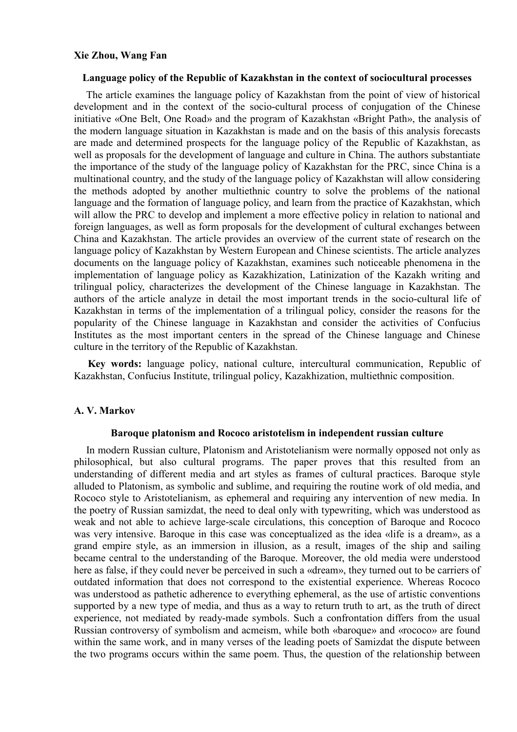## **Xie Zhou, Wang Fan**

### **Language policy of the Republic of Kazakhstan in the context of sociocultural processes**

The article examines the language policy of Kazakhstan from the point of view of historical development and in the context of the socio-cultural process of conjugation of the Chinese initiative «One Belt, One Road» and the program of Kazakhstan «Bright Path», the analysis of the modern language situation in Kazakhstan is made and on the basis of this analysis forecasts are made and determined prospects for the language policy of the Republic of Kazakhstan, as well as proposals for the development of language and culture in China. The authors substantiate the importance of the study of the language policy of Kazakhstan for the PRC, since China is a multinational country, and the study of the language policy of Kazakhstan will allow considering the methods adopted by another multiethnic country to solve the problems of the national language and the formation of language policy, and learn from the practice of Kazakhstan, which will allow the PRC to develop and implement a more effective policy in relation to national and foreign languages, as well as form proposals for the development of cultural exchanges between China and Kazakhstan. The article provides an overview of the current state of research on the language policy of Kazakhstan by Western European and Chinese scientists. The article analyzes documents on the language policy of Kazakhstan, examines such noticeable phenomena in the implementation of language policy as Kazakhization, Latinization of the Kazakh writing and trilingual policy, characterizes the development of the Chinese language in Kazakhstan. The authors of the article analyze in detail the most important trends in the socio-cultural life of Kazakhstan in terms of the implementation of a trilingual policy, consider the reasons for the popularity of the Chinese language in Kazakhstan and consider the activities of Confucius Institutes as the most important centers in the spread of the Chinese language and Chinese culture in the territory of the Republic of Kazakhstan.

**Key words:** language policy, national culture, intercultural communication, Republic of Kazakhstan, Confucius Institute, trilingual policy, Kazakhization, multiethnic composition.

### **A. V. Markov**

### **Baroque platonism and Rococo aristotelism in independent russian culture**

In modern Russian culture, Platonism and Aristotelianism were normally opposed not only as philosophical, but also cultural programs. The paper proves that this resulted from an understanding of different media and art styles as frames of cultural practices. Baroque style alluded to Platonism, as symbolic and sublime, and requiring the routine work of old media, and Rococo style to Aristotelianism, as ephemeral and requiring any intervention of new media. In the poetry of Russian samizdat, the need to deal only with typewriting, which was understood as weak and not able to achieve large-scale circulations, this conception of Baroque and Rococo was very intensive. Baroque in this case was conceptualized as the idea «life is a dream», as a grand empire style, as an immersion in illusion, as a result, images of the ship and sailing became central to the understanding of the Baroque. Moreover, the old media were understood here as false, if they could never be perceived in such a «dream», they turned out to be carriers of outdated information that does not correspond to the existential experience. Whereas Rococo was understood as pathetic adherence to everything ephemeral, as the use of artistic conventions supported by a new type of media, and thus as a way to return truth to art, as the truth of direct experience, not mediated by ready-made symbols. Such a confrontation differs from the usual Russian controversy of symbolism and acmeism, while both «baroque» and «rococo» are found within the same work, and in many verses of the leading poets of Samizdat the dispute between the two programs occurs within the same poem. Thus, the question of the relationship between